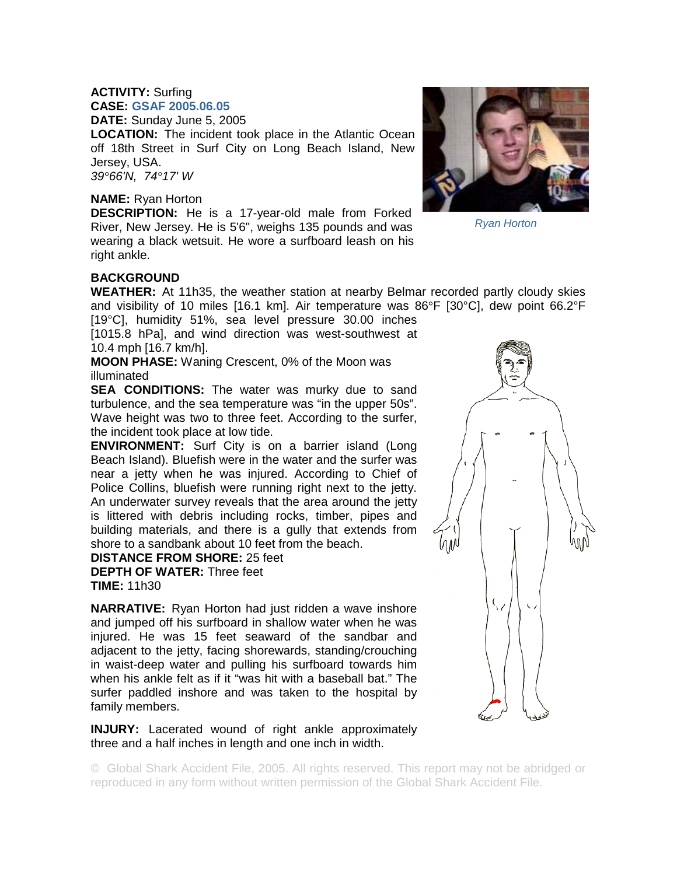## **ACTIVITY:** Surfing **CASE: GSAF 2005.06.05**

**DATE:** Sunday June 5, 2005

**LOCATION:** The incident took place in the Atlantic Ocean off 18th Street in Surf City on Long Beach Island, New Jersey, USA. *39°66'N, 74°17' W* 

## **NAME:** Ryan Horton

**DESCRIPTION:** He is a 17-year-old male from Forked River, New Jersey. He is 5'6", weighs 135 pounds and was wearing a black wetsuit. He wore a surfboard leash on his right ankle.

## **BACKGROUND**

**WEATHER:** At 11h35, the weather station at nearby Belmar recorded partly cloudy skies and visibility of 10 miles [16.1 km]. Air temperature was  $86^{\circ}F$  [30 $^{\circ}C$ ], dew point 66.2 $^{\circ}F$ [19°C], humidity 51%, sea level pressure 30.00 inches

[1015.8 hPa], and wind direction was west-southwest at 10.4 mph [16.7 km/h].

**MOON PHASE:** Waning Crescent, 0% of the Moon was illuminated

**SEA CONDITIONS:** The water was murky due to sand turbulence, and the sea temperature was "in the upper 50s". Wave height was two to three feet. According to the surfer, the incident took place at low tide.

**ENVIRONMENT:** Surf City is on a barrier island (Long Beach Island). Bluefish were in the water and the surfer was near a jetty when he was injured. According to Chief of Police Collins, bluefish were running right next to the jetty. An underwater survey reveals that the area around the jetty is littered with debris including rocks, timber, pipes and building materials, and there is a gully that extends from shore to a sandbank about 10 feet from the beach.

**DISTANCE FROM SHORE:** 25 feet

**DEPTH OF WATER:** Three feet **TIME:** 11h30

**NARRATIVE:** Ryan Horton had just ridden a wave inshore and jumped off his surfboard in shallow water when he was injured. He was 15 feet seaward of the sandbar and adjacent to the jetty, facing shorewards, standing/crouching in waist-deep water and pulling his surfboard towards him when his ankle felt as if it "was hit with a baseball bat." The surfer paddled inshore and was taken to the hospital by family members.

**INJURY:** Lacerated wound of right ankle approximately three and a half inches in length and one inch in width.

© Global Shark Accident File, 2005. All rights reserved. This report may not be abridged or reproduced in any form without written permission of the Global Shark Accident File.





*Ryan Horton*